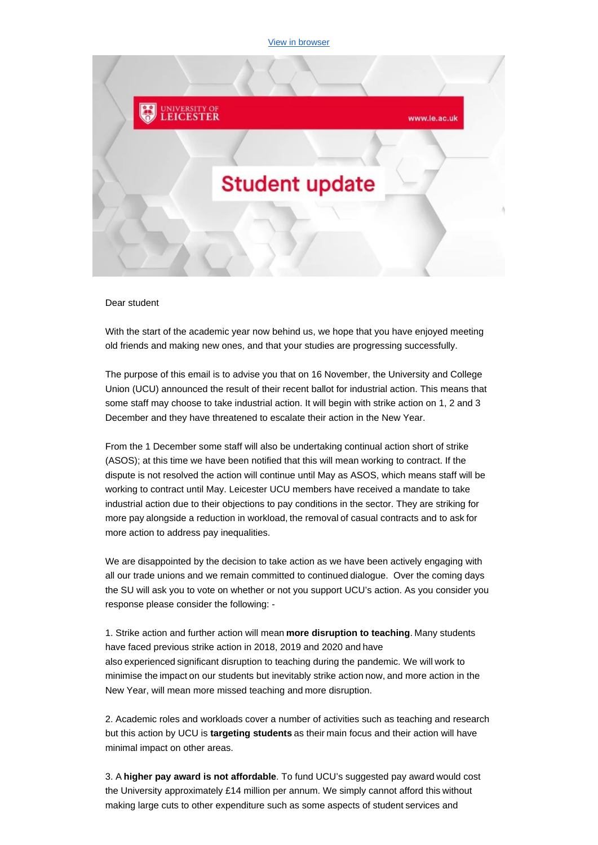[View in browser](https://ddlnk.net/I8Y-7MX5U-BFCD8940E71EC91B1G5V6F239335DF4D9155E6/cr.aspx)



## Dear student

With the start of the academic year now behind us, we hope that you have enjoyed meeting old friends and making new ones, and that your studies are progressing successfully.

The purpose of this email is to advise you that on 16 November, the University and College Union (UCU) announced the result of their recent ballot for industrial action. This means that some staff may choose to take industrial action. It will begin with strike action on 1, 2 and 3 December and they have threatened to escalate their action in the New Year.

From the 1 December some staff will also be undertaking continual action short of strike (ASOS); at this time we have been notified that this will mean working to contract. If the dispute is not resolved the action will continue until May as ASOS, which means staff will be working to contract until May. Leicester UCU members have received a mandate to take industrial action due to their objections to pay conditions in the sector. They are striking for more pay alongside a reduction in workload, the removal of casual contracts and to ask for more action to address pay inequalities.

We are disappointed by the decision to take action as we have been actively engaging with all our trade unions and we remain committed to continued dialogue. Over the coming days the SU will ask you to vote on whether or not you support UCU's action. As you consider you response please consider the following: -

1. Strike action and further action will mean**more disruption to teaching**. Many students have faced previous strike action in 2018, 2019 and 2020 and have also experienced significant disruption to teaching during the pandemic. We will work to minimise the impact on our students but inevitably strike action now, and more action in the New Year, will mean more missed teaching and more disruption.

2. Academic roles and workloads cover a number of activities such as teaching and research but this action by UCU is **targeting students** as their main focus and their action will have minimal impact on other areas.

3. A **higher pay award is not affordable**. To fund UCU's suggested pay award would cost the University approximately £14 million per annum. We simply cannot afford this without making large cuts to other expenditure such as some aspects of student services and